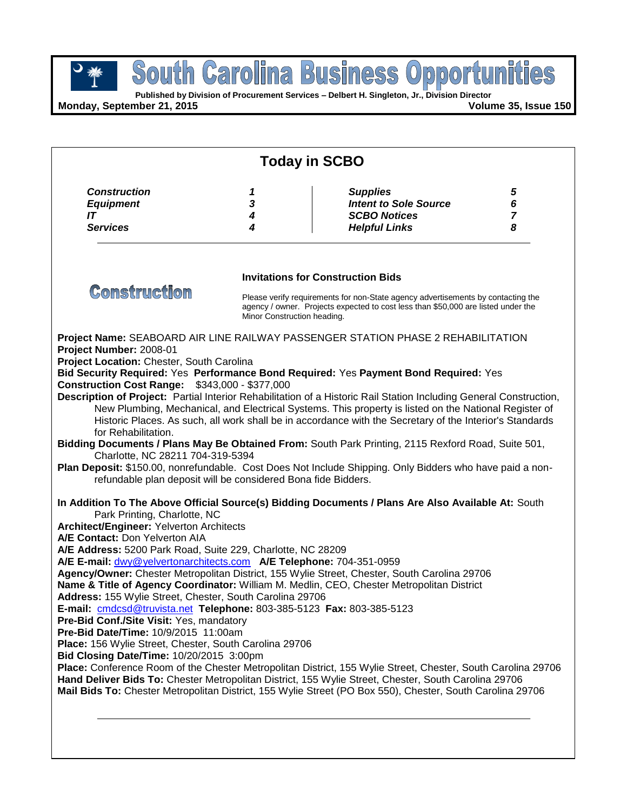**Published by Division of Procurement Services – Delbert H. Singleton, Jr., Division Director**

**Monday, September 21, 2015 Volume 35, Issue 150**

| <b>Today in SCBO</b>                                                                                                                                                                                                                                                                                                                                                                                                                                                                                                                                                                   |                  |                                                                                                                                                                                                                                                                                                                                                                                                                                                                                                                                                                                                                                                                                                                                       |                                       |  |  |
|----------------------------------------------------------------------------------------------------------------------------------------------------------------------------------------------------------------------------------------------------------------------------------------------------------------------------------------------------------------------------------------------------------------------------------------------------------------------------------------------------------------------------------------------------------------------------------------|------------------|---------------------------------------------------------------------------------------------------------------------------------------------------------------------------------------------------------------------------------------------------------------------------------------------------------------------------------------------------------------------------------------------------------------------------------------------------------------------------------------------------------------------------------------------------------------------------------------------------------------------------------------------------------------------------------------------------------------------------------------|---------------------------------------|--|--|
| <b>Construction</b><br><b>Equipment</b><br>IT<br><b>Services</b>                                                                                                                                                                                                                                                                                                                                                                                                                                                                                                                       | 1<br>3<br>4<br>4 | <b>Supplies</b><br><b>Intent to Sole Source</b><br><b>SCBO Notices</b><br><b>Helpful Links</b>                                                                                                                                                                                                                                                                                                                                                                                                                                                                                                                                                                                                                                        | ${\bf 5}$<br>6<br>$\overline{7}$<br>8 |  |  |
| <b>Construction</b>                                                                                                                                                                                                                                                                                                                                                                                                                                                                                                                                                                    |                  | <b>Invitations for Construction Bids</b>                                                                                                                                                                                                                                                                                                                                                                                                                                                                                                                                                                                                                                                                                              |                                       |  |  |
|                                                                                                                                                                                                                                                                                                                                                                                                                                                                                                                                                                                        |                  | Please verify requirements for non-State agency advertisements by contacting the<br>agency / owner. Projects expected to cost less than \$50,000 are listed under the<br>Minor Construction heading.                                                                                                                                                                                                                                                                                                                                                                                                                                                                                                                                  |                                       |  |  |
| Project Number: 2008-01<br>Project Location: Chester, South Carolina<br><b>Construction Cost Range: \$343,000 - \$377,000</b><br>for Rehabilitation.<br>Charlotte, NC 28211 704-319-5394<br>refundable plan deposit will be considered Bona fide Bidders.                                                                                                                                                                                                                                                                                                                              |                  | Project Name: SEABOARD AIR LINE RAILWAY PASSENGER STATION PHASE 2 REHABILITATION<br>Bid Security Required: Yes Performance Bond Required: Yes Payment Bond Required: Yes<br>Description of Project: Partial Interior Rehabilitation of a Historic Rail Station Including General Construction,<br>New Plumbing, Mechanical, and Electrical Systems. This property is listed on the National Register of<br>Historic Places. As such, all work shall be in accordance with the Secretary of the Interior's Standards<br>Bidding Documents / Plans May Be Obtained From: South Park Printing, 2115 Rexford Road, Suite 501,<br>Plan Deposit: \$150.00, nonrefundable. Cost Does Not Include Shipping. Only Bidders who have paid a non- |                                       |  |  |
| Park Printing, Charlotte, NC<br><b>Architect/Engineer: Yelverton Architects</b><br>A/E Contact: Don Yelverton AIA<br>A/E Address: 5200 Park Road, Suite 229, Charlotte, NC 28209<br>A/E E-mail: dwy@yelvertonarchitects.com A/E Telephone: 704-351-0959<br>Address: 155 Wylie Street, Chester, South Carolina 29706<br>E-mail: cmdcsd@truvista.net Telephone: 803-385-5123 Fax: 803-385-5123<br>Pre-Bid Conf./Site Visit: Yes, mandatory<br>Pre-Bid Date/Time: 10/9/2015 11:00am<br>Place: 156 Wylie Street, Chester, South Carolina 29706<br>Bid Closing Date/Time: 10/20/2015 3:00pm |                  | In Addition To The Above Official Source(s) Bidding Documents / Plans Are Also Available At: South<br>Agency/Owner: Chester Metropolitan District, 155 Wylie Street, Chester, South Carolina 29706<br>Name & Title of Agency Coordinator: William M. Medlin, CEO, Chester Metropolitan District<br>Place: Conference Room of the Chester Metropolitan District, 155 Wylie Street, Chester, South Carolina 29706<br>Hand Deliver Bids To: Chester Metropolitan District, 155 Wylie Street, Chester, South Carolina 29706<br>Mail Bids To: Chester Metropolitan District, 155 Wylie Street (PO Box 550), Chester, South Carolina 29706                                                                                                  |                                       |  |  |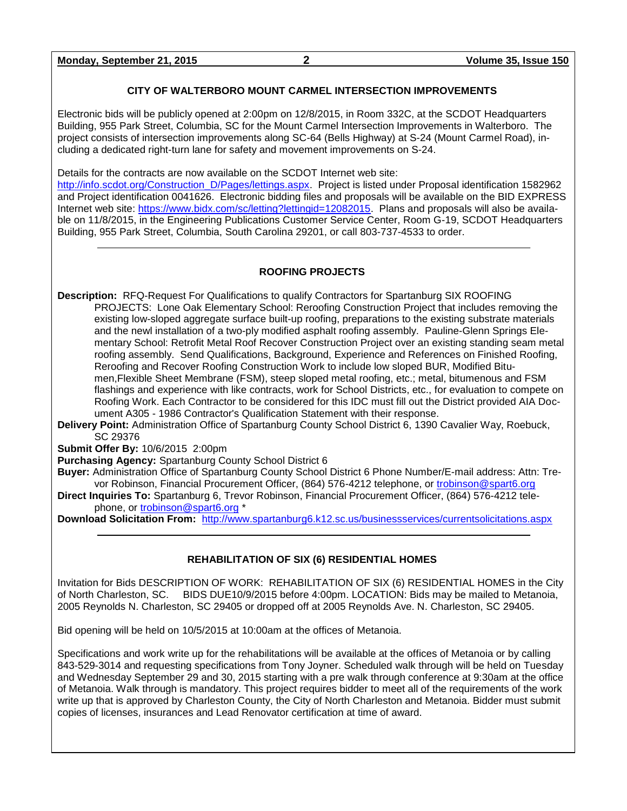**Monday, September 21, 2015 2 Volume 35, Issue 150**

### **CITY OF WALTERBORO MOUNT CARMEL INTERSECTION IMPROVEMENTS**

Electronic bids will be publicly opened at 2:00pm on 12/8/2015, in Room 332C, at the SCDOT Headquarters Building, 955 Park Street, Columbia, SC for the Mount Carmel Intersection Improvements in Walterboro. The project consists of intersection improvements along SC-64 (Bells Highway) at S-24 (Mount Carmel Road), including a dedicated right-turn lane for safety and movement improvements on S-24.

Details for the contracts are now available on the SCDOT Internet web site:

[http://info.scdot.org/Construction\\_D/Pages/lettings.aspx.](http://info.scdot.org/Construction_D/Pages/lettings.aspx) Project is listed under Proposal identification 1582962 and Project identification 0041626. Electronic bidding files and proposals will be available on the BID EXPRESS Internet web site: [https://www.bidx.com/sc/letting?lettingid=12082015.](https://www.bidx.com/sc/letting?lettingid=12082015) Plans and proposals will also be available on 11/8/2015, in the Engineering Publications Customer Service Center, Room G-19, SCDOT Headquarters Building, 955 Park Street, Columbia, South Carolina 29201, or call 803-737-4533 to order.

### **ROOFING PROJECTS**

**Description:** RFQ-Request For Qualifications to qualify Contractors for Spartanburg SIX ROOFING PROJECTS: Lone Oak Elementary School: Reroofing Construction Project that includes removing the existing low-sloped aggregate surface built-up roofing, preparations to the existing substrate materials and the newl installation of a two-ply modified asphalt roofing assembly. Pauline-Glenn Springs Elementary School: Retrofit Metal Roof Recover Construction Project over an existing standing seam metal roofing assembly. Send Qualifications, Background, Experience and References on Finished Roofing, Reroofing and Recover Roofing Construction Work to include low sloped BUR, Modified Bitumen,Flexible Sheet Membrane (FSM), steep sloped metal roofing, etc.; metal, bitumenous and FSM flashings and experience with like contracts, work for School Districts, etc., for evaluation to compete on Roofing Work. Each Contractor to be considered for this IDC must fill out the District provided AIA Document A305 - 1986 Contractor's Qualification Statement with their response.

**Delivery Point:** Administration Office of Spartanburg County School District 6, 1390 Cavalier Way, Roebuck, SC 29376

### **Submit Offer By:** 10/6/2015 2:00pm

**Purchasing Agency:** Spartanburg County School District 6

**Buyer:** Administration Office of Spartanburg County School District 6 Phone Number/E-mail address: Attn: Trevor Robinson, Financial Procurement Officer, (864) 576-4212 telephone, or [trobinson@spart6.org](mailto:trobinson@spart6.org)

**Direct Inquiries To:** Spartanburg 6, Trevor Robinson, Financial Procurement Officer, (864) 576-4212 telephone, or [trobinson@spart6.org](mailto:trobinson@spart6.org) \*

**Download Solicitation From:** <http://www.spartanburg6.k12.sc.us/businessservices/currentsolicitations.aspx>

### **REHABILITATION OF SIX (6) RESIDENTIAL HOMES**

Invitation for Bids DESCRIPTION OF WORK: REHABILITATION OF SIX (6) RESIDENTIAL HOMES in the City of North Charleston, SC. BIDS DUE10/9/2015 before 4:00pm. LOCATION: Bids may be mailed to Metanoia, 2005 Reynolds N. Charleston, SC 29405 or dropped off at 2005 Reynolds Ave. N. Charleston, SC 29405.

Bid opening will be held on 10/5/2015 at 10:00am at the offices of Metanoia.

Specifications and work write up for the rehabilitations will be available at the offices of Metanoia or by calling 843-529-3014 and requesting specifications from Tony Joyner. Scheduled walk through will be held on Tuesday and Wednesday September 29 and 30, 2015 starting with a pre walk through conference at 9:30am at the office of Metanoia. Walk through is mandatory. This project requires bidder to meet all of the requirements of the work write up that is approved by Charleston County, the City of North Charleston and Metanoia. Bidder must submit copies of licenses, insurances and Lead Renovator certification at time of award.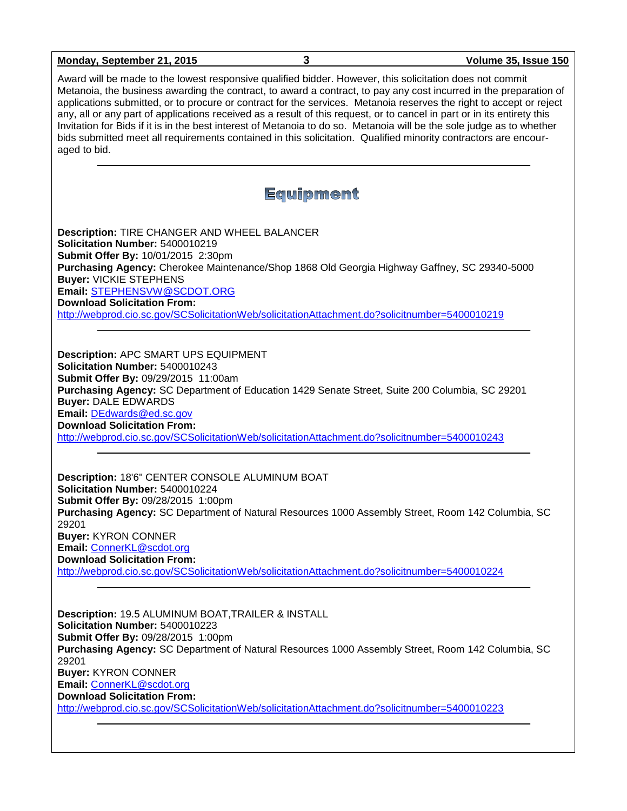## **Monday, September 21, 2015 3 Volume 35, Issue 150** Award will be made to the lowest responsive qualified bidder. However, this solicitation does not commit Metanoia, the business awarding the contract, to award a contract, to pay any cost incurred in the preparation of applications submitted, or to procure or contract for the services. Metanoia reserves the right to accept or reject any, all or any part of applications received as a result of this request, or to cancel in part or in its entirety this Invitation for Bids if it is in the best interest of Metanoia to do so. Metanoia will be the sole judge as to whether bids submitted meet all requirements contained in this solicitation. Qualified minority contractors are encouraged to bid. Equipment **Description:** TIRE CHANGER AND WHEEL BALANCER **Solicitation Number:** 5400010219 **Submit Offer By:** 10/01/2015 2:30pm **Purchasing Agency:** Cherokee Maintenance/Shop 1868 Old Georgia Highway Gaffney, SC 29340-5000 **Buyer:** VICKIE STEPHENS **Email:** [STEPHENSVW@SCDOT.ORG](mailto:STEPHENSVW@SCDOT.ORG) **Download Solicitation From:**  <http://webprod.cio.sc.gov/SCSolicitationWeb/solicitationAttachment.do?solicitnumber=5400010219> **Description:** APC SMART UPS EQUIPMENT **Solicitation Number:** 5400010243 **Submit Offer By:** 09/29/2015 11:00am **Purchasing Agency:** SC Department of Education 1429 Senate Street, Suite 200 Columbia, SC 29201 **Buyer:** DALE EDWARDS **Email:** [DEdwards@ed.sc.gov](mailto:DEdwards@ed.sc.gov) **Download Solicitation From:**  <http://webprod.cio.sc.gov/SCSolicitationWeb/solicitationAttachment.do?solicitnumber=5400010243> **Description:** 18'6" CENTER CONSOLE ALUMINUM BOAT **Solicitation Number:** 5400010224 **Submit Offer By:** 09/28/2015 1:00pm **Purchasing Agency:** SC Department of Natural Resources 1000 Assembly Street, Room 142 Columbia, SC 29201 **Buyer:** KYRON CONNER **Email:** [ConnerKL@scdot.org](mailto:ConnerKL@scdot.org) **Download Solicitation From:**  <http://webprod.cio.sc.gov/SCSolicitationWeb/solicitationAttachment.do?solicitnumber=5400010224> **Description:** 19.5 ALUMINUM BOAT,TRAILER & INSTALL **Solicitation Number:** 5400010223 **Submit Offer By:** 09/28/2015 1:00pm **Purchasing Agency:** SC Department of Natural Resources 1000 Assembly Street, Room 142 Columbia, SC 29201 **Buyer:** KYRON CONNER **Email:** [ConnerKL@scdot.org](mailto:ConnerKL@scdot.org) **Download Solicitation From:**  <http://webprod.cio.sc.gov/SCSolicitationWeb/solicitationAttachment.do?solicitnumber=5400010223>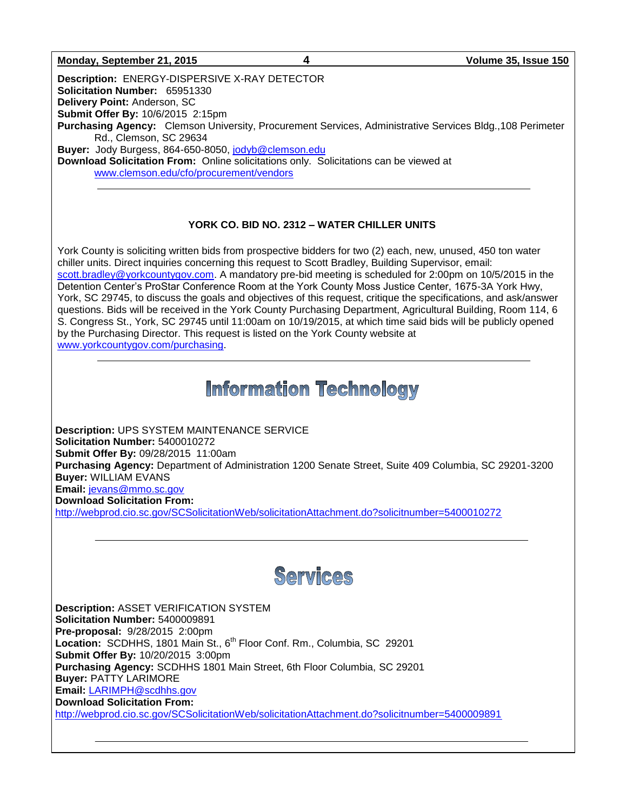### **Monday, September 21, 2015 4 Volume 35, Issue 150**

**Description:** ENERGY-DISPERSIVE X-RAY DETECTOR **Solicitation Number:** 65951330 **Delivery Point:** Anderson, SC **Submit Offer By:** 10/6/2015 2:15pm **Purchasing Agency:** Clemson University, Procurement Services, Administrative Services Bldg.,108 Perimeter Rd., Clemson, SC 29634 **Buyer:** Jody Burgess, 864-650-8050, [jodyb@clemson.edu](mailto:jodyb@clemson.edu) **Download Solicitation From:** Online solicitations only. Solicitations can be viewed at [www.clemson.edu/cfo/procurement/vendors](http://www.clemson.edu/cfo/procurement/vendors)

### **YORK CO. BID NO. 2312 – WATER CHILLER UNITS**

York County is soliciting written bids from prospective bidders for two (2) each, new, unused, 450 ton water chiller units. Direct inquiries concerning this request to Scott Bradley, Building Supervisor, email: [scott.bradley@yorkcountygov.com.](mailto:scott.bradley@yorkcountygov.com) A mandatory pre-bid meeting is scheduled for 2:00pm on 10/5/2015 in the Detention Center's ProStar Conference Room at the York County Moss Justice Center, 1675-3A York Hwy, York, SC 29745, to discuss the goals and objectives of this request, critique the specifications, and ask/answer questions. Bids will be received in the York County Purchasing Department, Agricultural Building, Room 114, 6 S. Congress St., York, SC 29745 until 11:00am on 10/19/2015, at which time said bids will be publicly opened by the Purchasing Director. This request is listed on the York County website at [www.yorkcountygov.com/purchasing.](http://www.yorkcountygov.com/purchasing)

## **Information Technology**

**Description:** UPS SYSTEM MAINTENANCE SERVICE **Solicitation Number:** 5400010272 **Submit Offer By:** 09/28/2015 11:00am **Purchasing Agency:** Department of Administration 1200 Senate Street, Suite 409 Columbia, SC 29201-3200 **Buyer:** WILLIAM EVANS **Email:** [jevans@mmo.sc.gov](mailto:jevans@mmo.sc.gov) **Download Solicitation From:** 

<http://webprod.cio.sc.gov/SCSolicitationWeb/solicitationAttachment.do?solicitnumber=5400010272>



**Description:** ASSET VERIFICATION SYSTEM **Solicitation Number:** 5400009891 **Pre-proposal:** 9/28/2015 2:00pm Location: SCDHHS, 1801 Main St., 6<sup>th</sup> Floor Conf. Rm., Columbia, SC 29201 **Submit Offer By:** 10/20/2015 3:00pm **Purchasing Agency:** SCDHHS 1801 Main Street, 6th Floor Columbia, SC 29201 **Buyer:** PATTY LARIMORE **Email:** [LARIMPH@scdhhs.gov](mailto:LARIMPH@scdhhs.gov) **Download Solicitation From:**  <http://webprod.cio.sc.gov/SCSolicitationWeb/solicitationAttachment.do?solicitnumber=5400009891>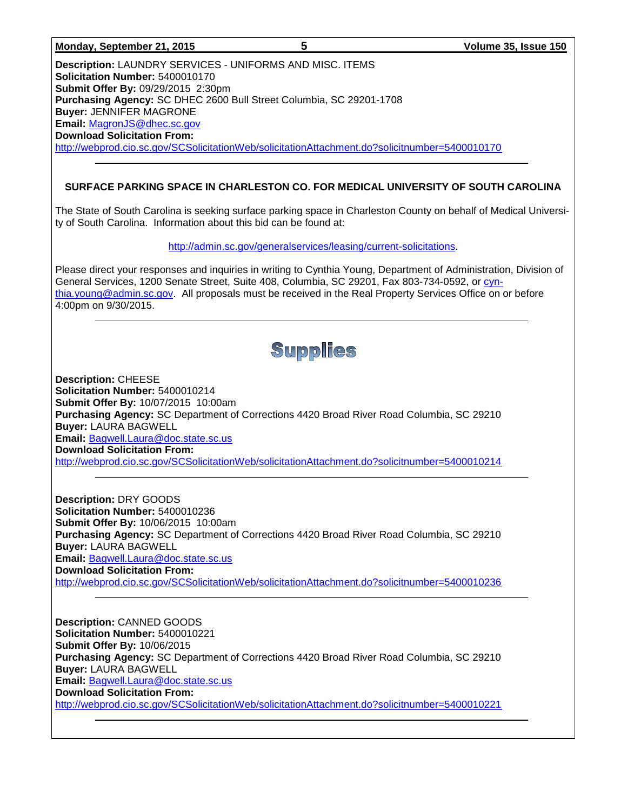|  | Monday, September 21, 2015 |  |  |
|--|----------------------------|--|--|
|--|----------------------------|--|--|

**Description:** LAUNDRY SERVICES - UNIFORMS AND MISC. ITEMS **Solicitation Number:** 5400010170 **Submit Offer By:** 09/29/2015 2:30pm **Purchasing Agency:** SC DHEC 2600 Bull Street Columbia, SC 29201-1708 **Buyer:** JENNIFER MAGRONE **Email:** [MagronJS@dhec.sc.gov](mailto:MagronJS@dhec.sc.gov) **Download Solicitation From:**  <http://webprod.cio.sc.gov/SCSolicitationWeb/solicitationAttachment.do?solicitnumber=5400010170>

## **SURFACE PARKING SPACE IN CHARLESTON CO. FOR MEDICAL UNIVERSITY OF SOUTH CAROLINA**

The State of South Carolina is seeking surface parking space in Charleston County on behalf of Medical University of South Carolina. Information about this bid can be found at:

[http://admin.sc.gov/generalservices/leasing/current-solicitations.](http://admin.sc.gov/generalservices/leasing/current-solicitations)

Please direct your responses and inquiries in writing to Cynthia Young, Department of Administration, Division of General Services, 1200 Senate Street, Suite 408, Columbia, SC 29201, Fax 803-734-0592, or [cyn](mailto:cynthia.young@admin.sc.gov)[thia.young@admin.sc.gov.](mailto:cynthia.young@admin.sc.gov) All proposals must be received in the Real Property Services Office on or before 4:00pm on 9/30/2015.

# Supplies

**Description:** CHEESE **Solicitation Number:** 5400010214 **Submit Offer By:** 10/07/2015 10:00am **Purchasing Agency:** SC Department of Corrections 4420 Broad River Road Columbia, SC 29210 **Buyer:** LAURA BAGWELL **Email:** [Bagwell.Laura@doc.state.sc.us](mailto:Bagwell.Laura@doc.state.sc.us) **Download Solicitation From:**  <http://webprod.cio.sc.gov/SCSolicitationWeb/solicitationAttachment.do?solicitnumber=5400010214>

**Description:** DRY GOODS **Solicitation Number:** 5400010236 **Submit Offer By:** 10/06/2015 10:00am **Purchasing Agency:** SC Department of Corrections 4420 Broad River Road Columbia, SC 29210 **Buyer:** LAURA BAGWELL **Email:** [Bagwell.Laura@doc.state.sc.us](mailto:Bagwell.Laura@doc.state.sc.us) **Download Solicitation From:**  <http://webprod.cio.sc.gov/SCSolicitationWeb/solicitationAttachment.do?solicitnumber=5400010236>

**Description:** CANNED GOODS **Solicitation Number:** 5400010221 **Submit Offer By:** 10/06/2015 **Purchasing Agency:** SC Department of Corrections 4420 Broad River Road Columbia, SC 29210 **Buyer:** LAURA BAGWELL **Email:** [Bagwell.Laura@doc.state.sc.us](mailto:Bagwell.Laura@doc.state.sc.us) **Download Solicitation From:**  <http://webprod.cio.sc.gov/SCSolicitationWeb/solicitationAttachment.do?solicitnumber=5400010221>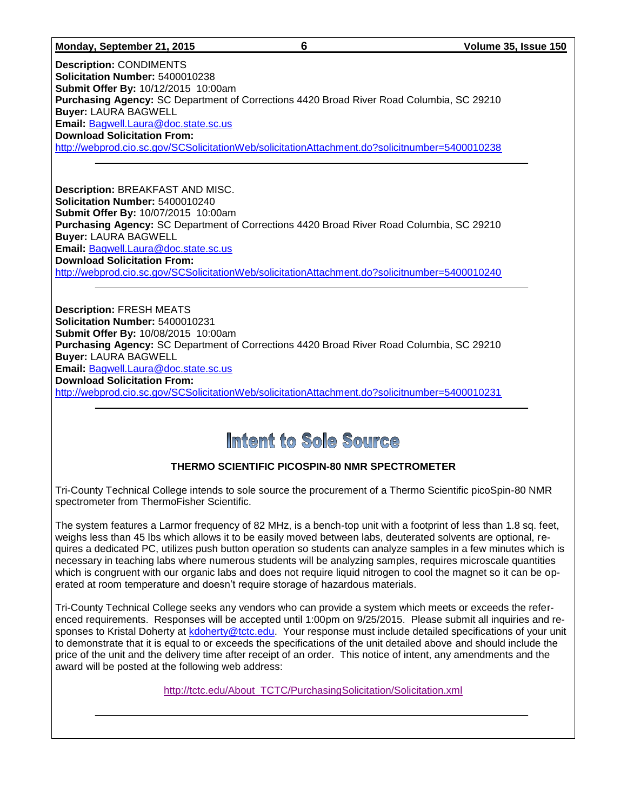#### **Monday, September 21, 2015 6 Volume 35, Issue 150**

**Description:** CONDIMENTS **Solicitation Number:** 5400010238 **Submit Offer By:** 10/12/2015 10:00am **Purchasing Agency:** SC Department of Corrections 4420 Broad River Road Columbia, SC 29210 **Buyer:** LAURA BAGWELL **Email:** [Bagwell.Laura@doc.state.sc.us](mailto:Bagwell.Laura@doc.state.sc.us) **Download Solicitation From:**  <http://webprod.cio.sc.gov/SCSolicitationWeb/solicitationAttachment.do?solicitnumber=5400010238>

**Description:** BREAKFAST AND MISC. **Solicitation Number:** 5400010240 **Submit Offer By:** 10/07/2015 10:00am **Purchasing Agency:** SC Department of Corrections 4420 Broad River Road Columbia, SC 29210 **Buyer:** LAURA BAGWELL **Email:** [Bagwell.Laura@doc.state.sc.us](mailto:Bagwell.Laura@doc.state.sc.us) **Download Solicitation From:**  <http://webprod.cio.sc.gov/SCSolicitationWeb/solicitationAttachment.do?solicitnumber=5400010240>

**Description:** FRESH MEATS **Solicitation Number:** 5400010231 **Submit Offer By:** 10/08/2015 10:00am **Purchasing Agency:** SC Department of Corrections 4420 Broad River Road Columbia, SC 29210 **Buyer:** LAURA BAGWELL **Email:** [Bagwell.Laura@doc.state.sc.us](mailto:Bagwell.Laura@doc.state.sc.us) **Download Solicitation From:**  <http://webprod.cio.sc.gov/SCSolicitationWeb/solicitationAttachment.do?solicitnumber=5400010231>

## Intent to Sole Source

## **THERMO SCIENTIFIC PICOSPIN-80 NMR SPECTROMETER**

Tri-County Technical College intends to sole source the procurement of a Thermo Scientific picoSpin-80 NMR spectrometer from ThermoFisher Scientific.

The system features a Larmor frequency of 82 MHz, is a bench-top unit with a footprint of less than 1.8 sq. feet, weighs less than 45 lbs which allows it to be easily moved between labs, deuterated solvents are optional, requires a dedicated PC, utilizes push button operation so students can analyze samples in a few minutes which is necessary in teaching labs where numerous students will be analyzing samples, requires microscale quantities which is congruent with our organic labs and does not require liquid nitrogen to cool the magnet so it can be operated at room temperature and doesn't require storage of hazardous materials.

Tri-County Technical College seeks any vendors who can provide a system which meets or exceeds the referenced requirements. Responses will be accepted until 1:00pm on 9/25/2015. Please submit all inquiries and responses to Kristal Doherty at [kdoherty@tctc.edu.](mailto:kdoherty@tctc.edu) Your response must include detailed specifications of your unit to demonstrate that it is equal to or exceeds the specifications of the unit detailed above and should include the price of the unit and the delivery time after receipt of an order. This notice of intent, any amendments and the award will be posted at the following web address:

[http://tctc.edu/About\\_TCTC/PurchasingSolicitation/Solicitation.xml](http://tctc.edu/About_TCTC/PurchasingSolicitation/Solicitation.xml)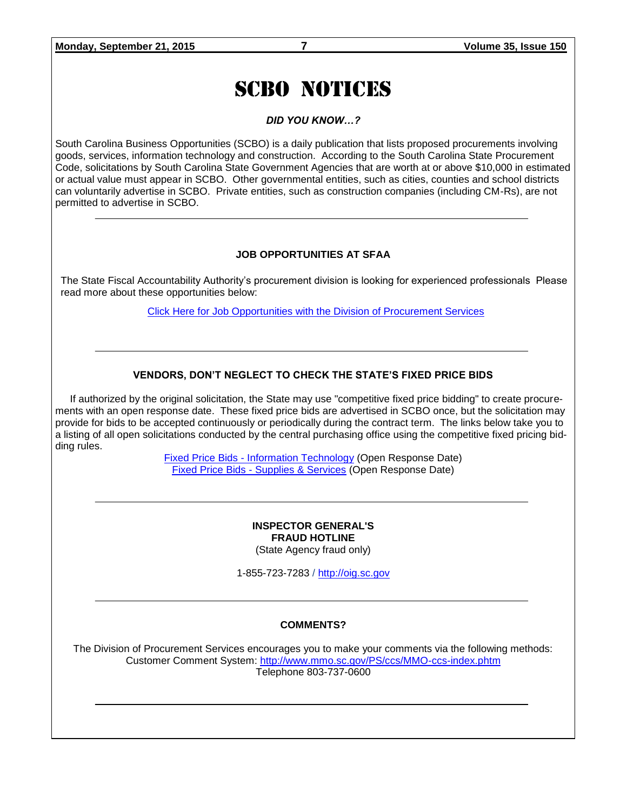# SCBO NOTICES

*DID YOU KNOW…?*

South Carolina Business Opportunities (SCBO) is a daily publication that lists proposed procurements involving goods, services, information technology and construction. According to the South Carolina State Procurement Code, solicitations by South Carolina State Government Agencies that are worth at or above \$10,000 in estimated or actual value must appear in SCBO. Other governmental entities, such as cities, counties and school districts can voluntarily advertise in SCBO. Private entities, such as construction companies (including CM-Rs), are not permitted to advertise in SCBO.

### **JOB OPPORTUNITIES AT SFAA**

The State Fiscal Accountability Authority's procurement division is looking for experienced professionals Please read more about these opportunities below:

[Click Here for Job Opportunities with the Division of Procurement Services](http://procurement.sc.gov/webfiles/MMO_scbo/SCBO%20Online/SFAA_job_opportunities.pdf)

### **VENDORS, DON'T NEGLECT TO CHECK THE STATE'S FIXED PRICE BIDS**

If authorized by the original solicitation, the State may use "competitive fixed price bidding" to create procurements with an open response date. These fixed price bids are advertised in SCBO once, but the solicitation may provide for bids to be accepted continuously or periodically during the contract term. The links below take you to a listing of all open solicitations conducted by the central purchasing office using the competitive fixed pricing bidding rules.

> Fixed Price Bids - [Information Technology](http://www.mmo.sc.gov/PS/vendor/PS-vendor-fixed-price-bids-it.phtm) (Open Response Date) Fixed Price Bids - [Supplies & Services](http://www.mmo.sc.gov/PS/vendor/PS-vendor-fixed-price-bids-ss.phtm) (Open Response Date)

> > **INSPECTOR GENERAL'S FRAUD HOTLINE** (State Agency fraud only)

1-855-723-7283 / [http://oig.sc.gov](http://oig.sc.gov/)

### **COMMENTS?**

The Division of Procurement Services encourages you to make your comments via the following methods: Customer Comment System:<http://www.mmo.sc.gov/PS/ccs/MMO-ccs-index.phtm> Telephone 803-737-0600